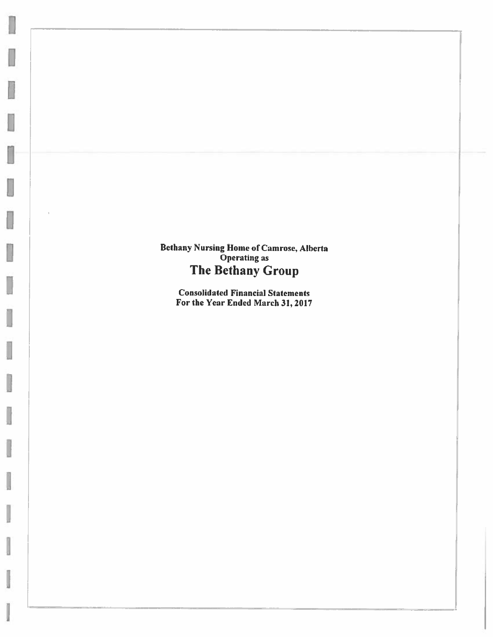**Bethany Nursing Home of Camrose, Alberta**<br>Operating as The Bethany Group

I

j

I

J

**Consolidated Financial Statements** For the Year Ended March 31, 2017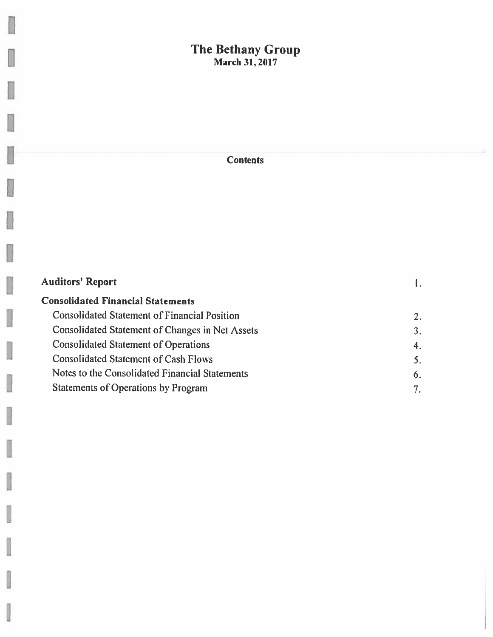# The Bethany Group<br>March 31, 2017

I

Į

I

J

i<br>M

J

ų

J

y

U

U

U

**Contents** 

| <b>Auditors' Report</b>                             |    |
|-----------------------------------------------------|----|
| <b>Consolidated Financial Statements</b>            |    |
| <b>Consolidated Statement of Financial Position</b> | 2. |
| Consolidated Statement of Changes in Net Assets     | 3. |
| <b>Consolidated Statement of Operations</b>         | 4. |
| <b>Consolidated Statement of Cash Flows</b>         | 5. |
| Notes to the Consolidated Financial Statements      | 6. |
| <b>Statements of Operations by Program</b>          |    |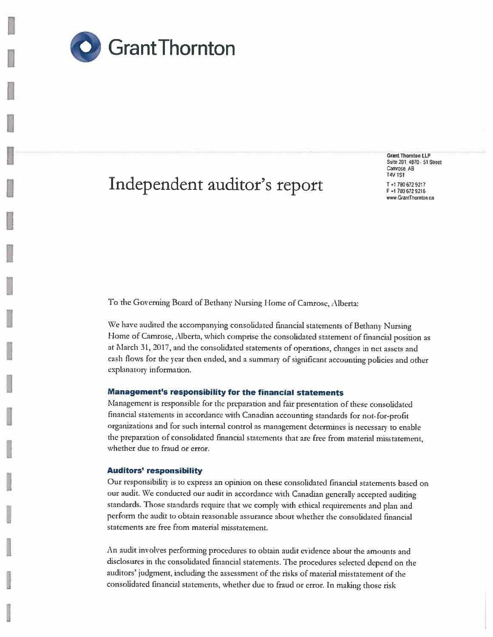

# Independent auditor's report

**Grant Thornton LLP** Suite 201, 4870 - 51 Street Camrose, AB **T4V 1S1** 

T+1780 672 9217 F+1780 672 9216 www.GrantThornton.ca

To the Governing Board of Bethany Nursing Home of Camrose, Alberta:

We have audited the accompanying consolidated financial statements of Bethany Nursing Home of Camrose, Alberta, which comprise the consolidated statement of financial position as at March 31, 2017, and the consolidated statements of operations, changes in net assets and cash flows for the year then ended, and a summary of significant accounting policies and other explanatory information.

## Management's responsibility for the financial statements

Management is responsible for the preparation and fair presentation of these consolidated financial statements in accordance with Canadian accounting standards for not-for-profit organizations and for such internal control as management determines is necessary to enable the preparation of consolidated financial statements that are free from material misstatement, whether due to fraud or error.

### **Auditors' responsibility**

Our responsibility is to express an opinion on these consolidated financial statements based on our audit. We conducted our audit in accordance with Canadian generally accepted auditing standards. Those standards require that we comply with ethical requirements and plan and perform the audit to obtain reasonable assurance about whether the consolidated financial statements are free from material misstatement.

An audit involves performing procedures to obtain audit evidence about the amounts and disclosures in the consolidated financial statements. The procedures selected depend on the auditors' judgment, including the assessment of the risks of material misstatement of the consolidated financial statements, whether due to fraud or error. In making those risk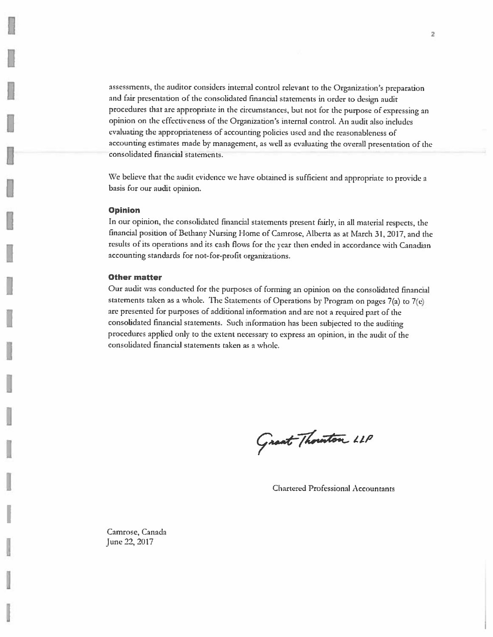assessments, the auditor considers internal control relevant to the Organization's preparation and fair presentation of the consolidated financial statements in order to design audit procedures that are appropriate in the circumstances, but not for the purpose of expressing an opinion on the effectiveness of the Organization's internal control. An audit also includes evaluating the appropriateness of accounting policies used and the reasonableness of accounting estimates made by management, as well as evaluating the overall presentation of the consolidated financial statements.

We believe that the audit evidence we have obtained is sufficient and appropriate to provide a basis for our audit opinion.

### **Opinion**

In our opinion, the consolidated financial statements present fairly, in all material respects, the financial position of Bethany Nursing Home of Camrose, Alberta as at March 31, 2017, and the results of its operations and its cash flows for the year then ended in accordance with Canadian accounting standards for not-for-profit organizations.

## **Other matter**

Our audit was conducted for the purposes of forming an opinion on the consolidated financial statements taken as a whole. The Statements of Operations by Program on pages 7(a) to 7(e) are presented for purposes of additional information and are not a required part of the consolidated financial statements. Such information has been subjected to the auditing procedures applied only to the extent necessary to express an opinion, in the audit of the consolidated financial statements taken as a whole.

Grant Thouston LLP

**Chartered Professional Accountants** 

Camrose, Canada June 22, 2017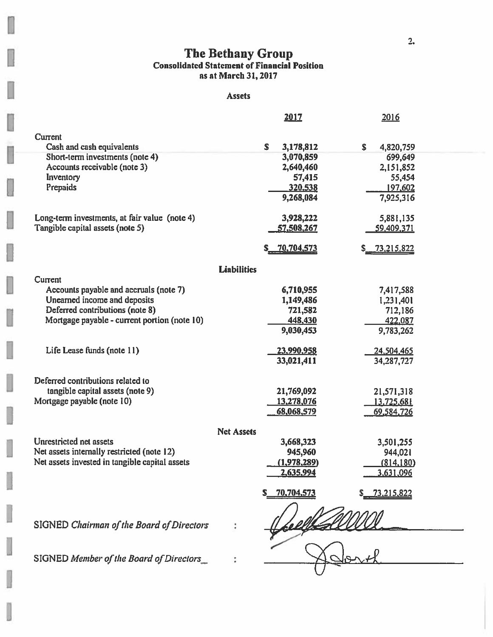# The Bethany Group<br>Consolidated Statement of Financial Position<br>as at March 31, 2017

## Assets

J

b

ł,

İ

I

|                                                |                    | <u> 2017</u>           | 2016                    |
|------------------------------------------------|--------------------|------------------------|-------------------------|
|                                                |                    |                        |                         |
| Current<br>Cash and cash equivalents           |                    | S.                     | \$                      |
| Short-term investments (note 4)                |                    | 3,178,812<br>3,070,859 | 4,820,759<br>699,649    |
| Accounts receivable (note 3)                   |                    |                        |                         |
|                                                |                    | 2,640,460              | 2,151,852               |
| Inventory<br>Prepaids                          |                    | 57,415                 | 55,454                  |
|                                                |                    | 320,538<br>9,268,084   | 197,602                 |
|                                                |                    |                        | 7,925,316               |
| Long-term investments, at fair value (note 4)  |                    | 3,928,222              | 5,881,135               |
| Tangible capital assets (note 5)               |                    | 57,508,267             | 59,409,371              |
|                                                |                    |                        |                         |
|                                                |                    | 70,704,573             | <u>73,215,822</u><br>S. |
|                                                | <b>Liabilities</b> |                        |                         |
| Current                                        |                    |                        |                         |
| Accounts payable and accruals (note 7)         |                    | 6,710,955              | 7,417,588               |
| Unearned income and deposits                   |                    | 1,149,486              | 1,231,401               |
| Deferred contributions (note 8)                |                    | 721,582                | 712,186                 |
| Mortgage payable - current portion (note 10)   |                    | 448,430                | 422,087                 |
|                                                |                    | 9,030,453              | 9,783,262               |
|                                                |                    |                        |                         |
| Life Lease funds (note 11)                     |                    | 23,990,958             | 24,504,465              |
|                                                |                    | 33,021,411             | 34,287,727              |
| Deferred contributions related to              |                    |                        |                         |
| tangible capital assets (note 9)               |                    | 21,769,092             | 21,571,318              |
| Mortgage payable (note 10)                     |                    | 13,278,076             | 13.725,681              |
|                                                |                    | 68,068,579             | 69,584,726              |
|                                                |                    |                        |                         |
|                                                | <b>Net Assets</b>  |                        |                         |
| Unrestricted net assets                        |                    | 3,668,323              | 3,501,255               |
| Net assets internally restricted (note 12)     |                    | 945,960                | 944,021                 |
| Net assets invested in tangible capital assets |                    | (1,978,289)            | (814, 180)              |
|                                                |                    | 2,635,994              | 3.631.096               |
|                                                |                    | 70,704,573             | <u>73.215.822</u>       |
|                                                |                    |                        |                         |
|                                                |                    |                        |                         |
| SIGNED Chairman of the Board of Directors      |                    |                        |                         |
|                                                |                    |                        |                         |
|                                                |                    |                        |                         |
| SIGNED Member of the Board of Directors        |                    |                        |                         |
|                                                |                    |                        |                         |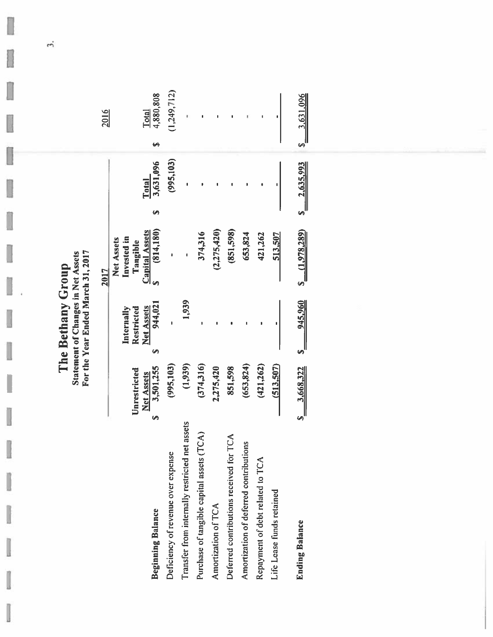| For the Year Ended March 31, 2017<br><b>Statement of Changes in Net Assets</b><br>. Bethany<br>The |
|----------------------------------------------------------------------------------------------------|
|----------------------------------------------------------------------------------------------------|

|                                                  |                                   |         |                                               | 2017                                                           |              | 2016                    |
|--------------------------------------------------|-----------------------------------|---------|-----------------------------------------------|----------------------------------------------------------------|--------------|-------------------------|
|                                                  | Unrestricted<br><b>Net Assets</b> |         | <b>Net Assets</b><br>Restricted<br>Internally | <b>Capital Assets</b><br>Invested in<br>Net Assets<br>Tangible | <b>Total</b> | <b>Lotal</b>            |
| <b>Beginning Balance</b>                         | 3,501,255<br>Ø                    | 69      | 944,021                                       | (814, 180)                                                     | 3,631,096    | 4,880,808               |
| Deficiency of revenue over expense               | (995, 103)                        |         |                                               |                                                                | (995, 103)   | 1,249,712)              |
| assets<br>ransfer from internally restricted net |                                   | (1,939) | 1,939                                         |                                                                |              |                         |
| Purchase of tangible capital assets (TCA)        | (374,316)                         |         |                                               | 374,316                                                        |              |                         |
| Amortization of TCA                              | 2,275,420                         |         |                                               | (2, 275, 420)                                                  |              |                         |
| Deferred contributions received for TCA          | 851,598                           |         |                                               | (851,598)                                                      |              |                         |
| Amortization of deferred contributions           | (653, 824)                        |         |                                               | 653,824                                                        |              |                         |
| Repayment of debt related to TCA                 | (421, 262)                        |         |                                               | 421,262                                                        |              |                         |
| life Lease funds retained                        | (513,507)                         |         |                                               | 513,507                                                        |              |                         |
| <b>Inding Balance</b>                            | \$ 3,668,322                      |         | \$ 945,960                                    | S(1,978,289)                                                   | S 2,635,993  | $\frac{1}{2}$ 3,631,096 |

 $\vec{\phantom{a}}$ 

l

I

U

U

ı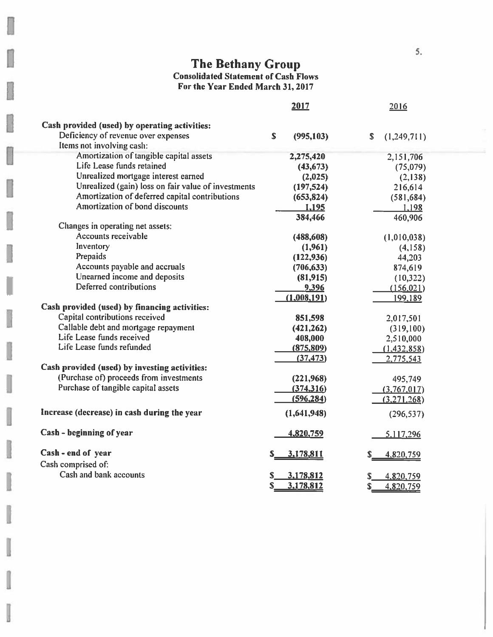# The Bethany Group<br>Consolidated Statement of Cash Flows<br>For the Year Ended March 31, 2017

|                                                                  | 2017                      | 2016                        |
|------------------------------------------------------------------|---------------------------|-----------------------------|
| Cash provided (used) by operating activities:                    |                           |                             |
| Deficiency of revenue over expenses<br>Items not involving cash: | $\mathbf S$<br>(995, 103) | \$<br>(1,249,711)           |
| Amortization of tangible capital assets                          | 2,275,420                 | 2,151,706                   |
| Life Lease funds retained                                        | (43, 673)                 | (75,079)                    |
| Unrealized mortgage interest earned                              | (2,025)                   | (2,138)                     |
| Unrealized (gain) loss on fair value of investments              | (197, 524)                | 216,614                     |
| Amortization of deferred capital contributions                   | (653, 824)                | (581, 684)                  |
| Amortization of bond discounts                                   | 1,195                     | 1,198                       |
|                                                                  | 384,466                   | 460,906                     |
| Changes in operating net assets:                                 |                           |                             |
| Accounts receivable                                              | (488, 608)                | (1,010,038)                 |
| Inventory                                                        | (1,961)                   | (4,158)                     |
| Prepaids                                                         | (122, 936)                | 44,203                      |
| Accounts payable and accruals                                    | (706, 633)                | 874,619                     |
| Unearned income and deposits                                     | (81,915)                  | (10, 322)                   |
| Deferred contributions                                           | 9,396                     | (156, 021)                  |
|                                                                  | (1,008,191)               | 199,189                     |
| Cash provided (used) by financing activities:                    |                           |                             |
| Capital contributions received                                   | 851,598                   | 2,017,501                   |
| Callable debt and mortgage repayment                             | (421, 262)                | (319, 100)                  |
| Life Lease funds received                                        | 408,000                   | 2,510,000                   |
| Life Lease funds refunded                                        | (875, 809)                | (1,432,858)                 |
|                                                                  | (37, 473)                 | 2,775,543                   |
| Cash provided (used) by investing activities:                    |                           |                             |
| (Purchase of) proceeds from investments                          | (221,968)                 | 495,749                     |
| Purchase of tangible capital assets                              | (374, 316)                | (3,767,017)                 |
|                                                                  | (596, 284)                | (3,271,268)                 |
| Increase (decrease) in cash during the year                      | (1,641,948)               | (296, 537)                  |
| Cash - beginning of year                                         | 4,820,759                 | 5,117,296                   |
| Cash - end of year                                               | 3,178,811                 | 4,820,759                   |
| Cash comprised of:                                               |                           |                             |
| Cash and bank accounts                                           | 3,178,812                 |                             |
|                                                                  | S<br>3,178,812            | 4,820,759<br>S<br>4.820.759 |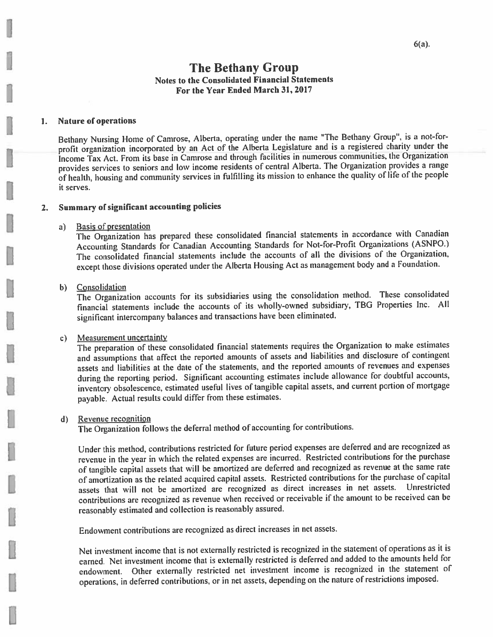#### **Nature of operations**  $1.$

Bethany Nursing Home of Camrose, Alberta, operating under the name "The Bethany Group", is a not-forprofit organization incorporated by an Act of the Alberta Legislature and is a registered charity under the Income Tax Act. From its base in Camrose and through facilities in numerous communities, the Organization provides services to seniors and low income residents of central Alberta. The Organization provides a range of health, housing and community services in fulfilling its mission to enhance the quality of life of the people it serves.

#### **Summary of significant accounting policies**  $2.$

#### **Basis of presentation**  $a)$

The Organization has prepared these consolidated financial statements in accordance with Canadian Accounting Standards for Canadian Accounting Standards for Not-for-Profit Organizations (ASNPO.) The consolidated financial statements include the accounts of all the divisions of the Organization, except those divisions operated under the Alberta Housing Act as management body and a Foundation.

## b) Consolidation

The Organization accounts for its subsidiaries using the consolidation method. These consolidated financial statements include the accounts of its wholly-owned subsidiary, TBG Properties Inc. All significant intercompany balances and transactions have been eliminated.

#### Measurement uncertainty  $c)$

The preparation of these consolidated financial statements requires the Organization to make estimates and assumptions that affect the reported amounts of assets and liabilities and disclosure of contingent assets and liabilities at the date of the statements, and the reported amounts of revenues and expenses during the reporting period. Significant accounting estimates include allowance for doubtful accounts, inventory obsolescence, estimated useful lives of tangible capital assets, and current portion of mortgage payable. Actual results could differ from these estimates.

## d) Revenue recognition

The Organization follows the deferral method of accounting for contributions.

Under this method, contributions restricted for future period expenses are deferred and are recognized as revenue in the year in which the related expenses are incurred. Restricted contributions for the purchase of tangible capital assets that will be amortized are deferred and recognized as revenue at the same rate of amortization as the related acquired capital assets. Restricted contributions for the purchase of capital assets that will not be amortized are recognized as direct increases in net assets. Unrestricted contributions are recognized as revenue when received or receivable if the amount to be received can be reasonably estimated and collection is reasonably assured.

Endowment contributions are recognized as direct increases in net assets.

Net investment income that is not externally restricted is recognized in the statement of operations as it is earned. Net investment income that is externally restricted is deferred and added to the amounts held for endowment. Other externally restricted net investment income is recognized in the statement of operations, in deferred contributions, or in net assets, depending on the nature of restrictions imposed.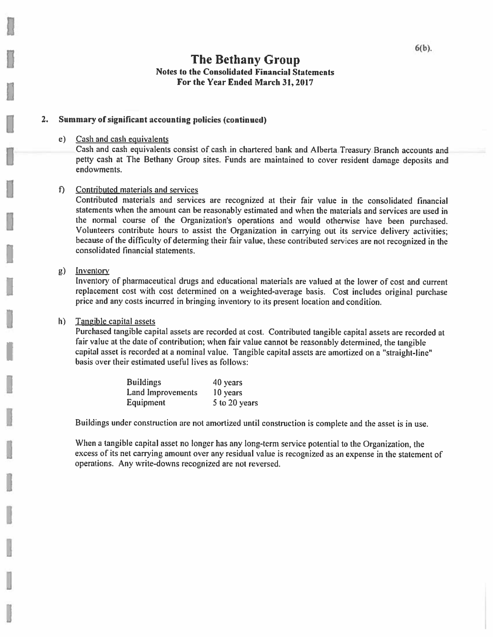#### Summary of significant accounting policies (continued) 2.

## e) Cash and cash equivalents

Cash and cash equivalents consist of cash in chartered bank and Alberta Treasury Branch accounts and petty cash at The Bethany Group sites. Funds are maintained to cover resident damage deposits and endowments.

## f) Contributed materials and services

Contributed materials and services are recognized at their fair value in the consolidated financial statements when the amount can be reasonably estimated and when the materials and services are used in the normal course of the Organization's operations and would otherwise have been purchased. Volunteers contribute hours to assist the Organization in carrying out its service delivery activities; because of the difficulty of determing their fair value, these contributed services are not recognized in the consolidated financial statements.

## $g$ ) Inventory

Inventory of pharmaceutical drugs and educational materials are valued at the lower of cost and current replacement cost with cost determined on a weighted-average basis. Cost includes original purchase price and any costs incurred in bringing inventory to its present location and condition.

#### Tangible capital assets h)

Purchased tangible capital assets are recorded at cost. Contributed tangible capital assets are recorded at fair value at the date of contribution; when fair value cannot be reasonably determined, the tangible capital asset is recorded at a nominal value. Tangible capital assets are amortized on a "straight-line" basis over their estimated useful lives as follows:

| <b>Buildings</b>  | 40 years      |
|-------------------|---------------|
| Land Improvements | 10 years      |
| <b>Equipment</b>  | 5 to 20 years |

Buildings under construction are not amortized until construction is complete and the asset is in use.

When a tangible capital asset no longer has any long-term service potential to the Organization, the excess of its net carrying amount over any residual value is recognized as an expense in the statement of operations. Any write-downs recognized are not reversed.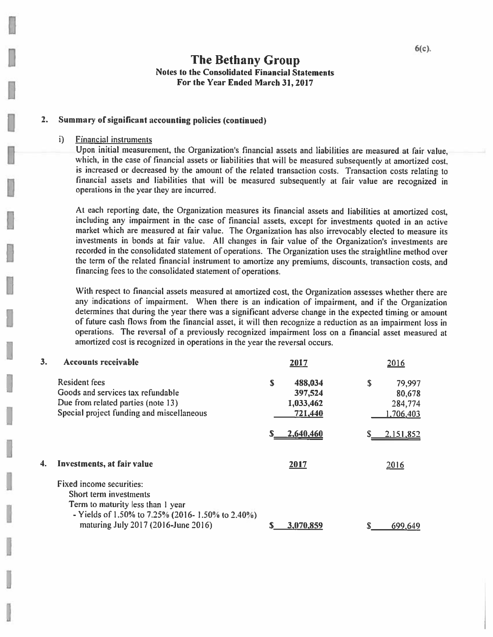#### $2.$ Summary of significant accounting policies (continued)

#### **Financial instruments**  $i$

Upon initial measurement, the Organization's financial assets and liabilities are measured at fair value, which, in the case of financial assets or liabilities that will be measured subsequently at amortized cost. is increased or decreased by the amount of the related transaction costs. Transaction costs relating to financial assets and liabilities that will be measured subsequently at fair value are recognized in operations in the year they are incurred.

At each reporting date, the Organization measures its financial assets and liabilities at amortized cost, including any impairment in the case of financial assets, except for investments quoted in an active market which are measured at fair value. The Organization has also irrevocably elected to measure its investments in bonds at fair value. All changes in fair value of the Organization's investments are recorded in the consolidated statement of operations. The Organization uses the straightline method over the term of the related financial instrument to amortize any premiums, discounts, transaction costs, and financing fees to the consolidated statement of operations.

With respect to financial assets measured at amortized cost, the Organization assesses whether there are any indications of impairment. When there is an indication of impairment, and if the Organization determines that during the year there was a significant adverse change in the expected timing or amount of future cash flows from the financial asset, it will then recognize a reduction as an impairment loss in operations. The reversal of a previously recognized impairment loss on a financial asset measured at amortized cost is recognized in operations in the year the reversal occurs.

| 3. | <b>Accounts receivable</b>                       |   | 2017      | 2016         |
|----|--------------------------------------------------|---|-----------|--------------|
|    | <b>Resident fees</b>                             | S | 488,034   | \$<br>79,997 |
|    | Goods and services tax refundable                |   | 397,524   | 80,678       |
|    | Due from related parties (note 13)               |   | 1,033,462 | 284,774      |
|    | Special project funding and miscellaneous        |   | 721,440   | 1,706,403    |
|    |                                                  |   | 2,640,460 | 2.151,852    |
| 4. | Investments, at fair value                       |   | 2017      | 2016         |
|    | Fixed income securities:                         |   |           |              |
|    | Short term investments                           |   |           |              |
|    | Term to maturity less than 1 year                |   |           |              |
|    | - Yields of 1.50% to 7.25% (2016-1.50% to 2.40%) |   |           |              |
|    | maturing July 2017 (2016-June 2016)              |   | 3,070,859 | 699,649      |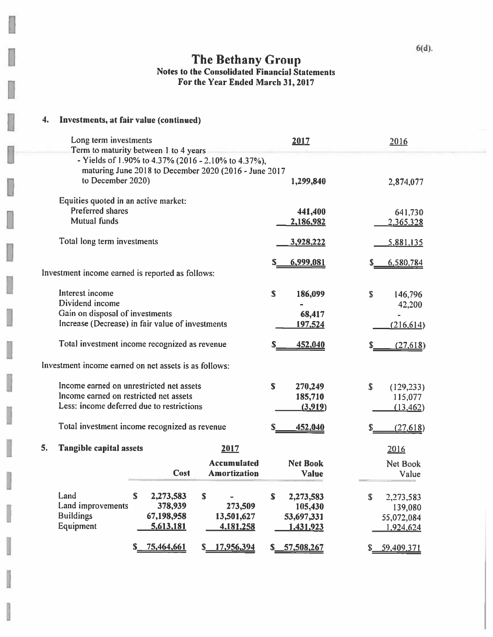## 4. Investments, at fair value (continued)

I

1

i<br>S

J

u

| Long term investments                  |                                                       | 2017                     | 2016             |
|----------------------------------------|-------------------------------------------------------|--------------------------|------------------|
|                                        | Term to maturity between 1 to 4 years                 |                          |                  |
|                                        | - Yields of 1.90% to 4.37% (2016 - 2.10% to 4.37%),   |                          |                  |
| to December 2020)                      | maturing June 2018 to December 2020 (2016 - June 2017 | 1,299,840                |                  |
|                                        |                                                       |                          | 2,874,077        |
| Equities quoted in an active market:   |                                                       |                          |                  |
| <b>Preferred shares</b>                |                                                       | 441,400                  | 641,730          |
| <b>Mutual funds</b>                    |                                                       | 2,186,982                | 2,365,328        |
|                                        |                                                       |                          |                  |
| Total long term investments            |                                                       | 3,928,222                | 5,881,135        |
|                                        |                                                       |                          |                  |
|                                        |                                                       | 6,999,081                | 6,580,784        |
|                                        | Investment income earned is reported as follows:      |                          |                  |
|                                        |                                                       |                          |                  |
| Interest income                        |                                                       | S<br>186,099             | \$<br>146,796    |
| Dividend income                        |                                                       |                          | 42,200           |
| Gain on disposal of investments        |                                                       | 68,417                   |                  |
|                                        | Increase (Decrease) in fair value of investments      | 197,524                  | (216, 614)       |
|                                        | Total investment income recognized as revenue         | 452,040<br>S             |                  |
|                                        |                                                       |                          | (27, 618)        |
|                                        | Investment income earned on net assets is as follows: |                          |                  |
|                                        |                                                       |                          |                  |
|                                        | Income earned on unrestricted net assets              | $\mathbf S$<br>270,249   | \$<br>(129, 233) |
| Income earned on restricted net assets |                                                       | 185,710                  | 115,077          |
|                                        | Less: income deferred due to restrictions             | (3,919)                  | (13, 462)        |
|                                        |                                                       |                          |                  |
|                                        | Total investment income recognized as revenue         | 452,040                  | (27, 618)        |
|                                        |                                                       |                          |                  |
| 5.<br><b>Tangible capital assets</b>   | 2017                                                  |                          | 2016             |
|                                        | <b>Accumulated</b>                                    | <b>Net Book</b>          | Net Book         |
|                                        | Cost<br><b>Amortization</b>                           | <b>Value</b>             | Value            |
|                                        |                                                       |                          |                  |
| Land                                   | \$<br>2,273,583<br>S                                  | $\mathbf S$<br>2,273,583 | \$<br>2,273,583  |
| Land improvements                      | 378,939<br>273,509                                    | 105,430                  | 139,080          |
| <b>Buildings</b>                       | 67,198,958<br>13,501,627                              | 53,697,331               | 55,072,084       |
| Equipment                              | 5,613,181<br>4,181,258                                | 1,431,923                | 1.924,624        |
|                                        |                                                       |                          |                  |
|                                        | 75,464,661<br>17,956,394<br>\$_<br>S.                 | 57,508,267<br>S.         | \$ 59,409,371    |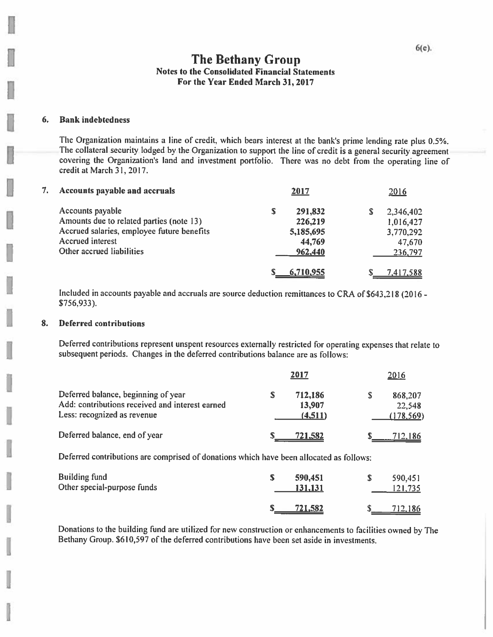#### 6. **Bank indebtedness**

The Organization maintains a line of credit, which bears interest at the bank's prime lending rate plus 0.5%. The collateral security lodged by the Organization to support the line of credit is a general security agreement covering the Organization's land and investment portfolio. There was no debt from the operating line of credit at March 31, 2017.

| 7. | Accounts payable and accruals              |   | 2017      | 2016      |
|----|--------------------------------------------|---|-----------|-----------|
|    | Accounts payable                           | S | 291,832   | 2,346,402 |
|    | Amounts due to related parties (note 13)   |   | 226,219   | 1,016,427 |
|    | Accrued salaries, employee future benefits |   | 5,185,695 | 3,770,292 |
|    | <b>Accrued</b> interest                    |   | 44,769    | 47,670    |
|    | Other accrued liabilities                  |   | 962,440   | 236,797   |
|    |                                            |   | 6,710,955 | 7,417,588 |

Included in accounts payable and accruals are source deduction remittances to CRA of \$643,218 (2016 - $$756,933$ ).

#### 8. **Deferred contributions**

Deferred contributions represent unspent resources externally restricted for operating expenses that relate to subsequent periods. Changes in the deferred contributions balance are as follows:

|                                                                                                                       | 2017                         | 2016                            |
|-----------------------------------------------------------------------------------------------------------------------|------------------------------|---------------------------------|
| Deferred balance, beginning of year<br>Add: contributions received and interest earned<br>Less: recognized as revenue | 712,186<br>13,907<br>(4,511) | 868,207<br>22,548<br>(178, 569) |
| Deferred balance, end of year                                                                                         | 721,582                      | <u>712,186</u>                  |

Deferred contributions are comprised of donations which have been allocated as follows:

| <b>Building fund</b><br>Other special-purpose funds | 590,451<br>131,131 | 590,451<br>121,735 |
|-----------------------------------------------------|--------------------|--------------------|
|                                                     | 721,582            | 712,186            |

Donations to the building fund are utilized for new construction or enhancements to facilities owned by The Bethany Group. \$610,597 of the deferred contributions have been set aside in investments.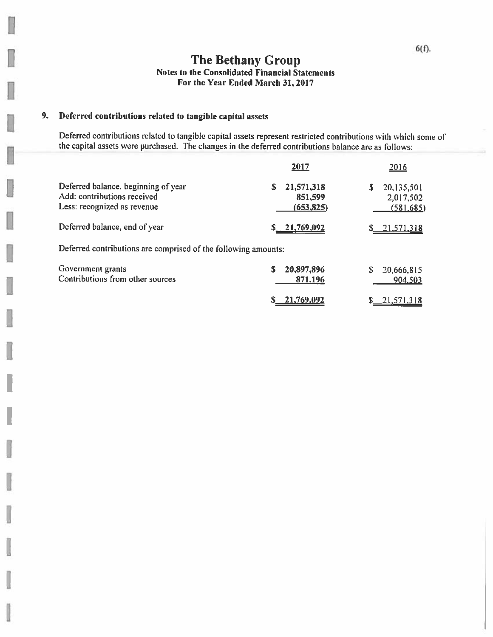#### 9. Deferred contributions related to tangible capital assets

в

Deferred contributions related to tangible capital assets represent restricted contributions with which some of the capital assets were purchased. The changes in the deferred contributions balance are as follows:

|                                                                                                   | 2017                                     | 2016                                       |
|---------------------------------------------------------------------------------------------------|------------------------------------------|--------------------------------------------|
| Deferred balance, beginning of year<br>Add: contributions received<br>Less: recognized as revenue | 21,571,318<br>S<br>851,599<br>(653, 825) | 20,135,501<br>S<br>2,017,502<br>(581, 685) |
| Deferred balance, end of year                                                                     | 21,769,092                               | \$ 21,571,318                              |
| Deferred contributions are comprised of the following amounts:                                    |                                          |                                            |
| Government grants<br>Contributions from other sources                                             | 20,897,896<br>S<br>871,196               | 20,666,815<br>S<br>904,503                 |
|                                                                                                   | $S = 21.769.092$                         | 21.571.318                                 |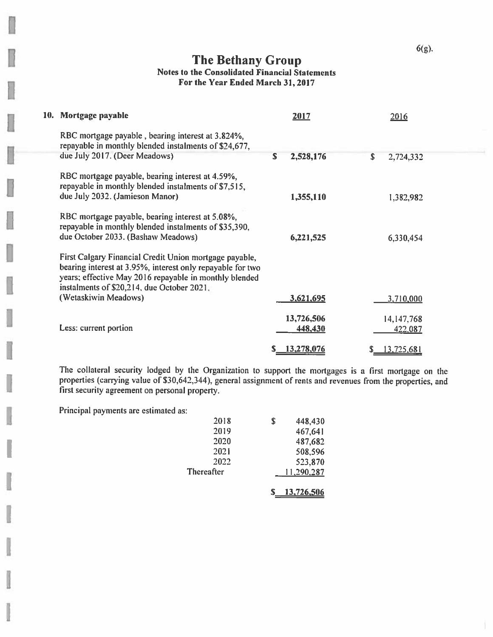$6(g)$ .

## The Bethany Group Notes to the Consolidated Financial Statements For the Year Ended March 31, 2017

| 10. Mortgage payable                                                                                                                                                                                                         |    | 2017                  |            | 2016                         |  |
|------------------------------------------------------------------------------------------------------------------------------------------------------------------------------------------------------------------------------|----|-----------------------|------------|------------------------------|--|
| RBC mortgage payable, bearing interest at 3.824%,<br>repayable in monthly blended instalments of \$24,677,                                                                                                                   |    |                       |            |                              |  |
| due July 2017. (Deer Meadows)                                                                                                                                                                                                | S. | 2,528,176             | $\sqrt{2}$ | 2,724,332                    |  |
| RBC mortgage payable, bearing interest at 4.59%,<br>repayable in monthly blended instalments of \$7,515,                                                                                                                     |    |                       |            |                              |  |
| due July 2032. (Jamieson Manor)                                                                                                                                                                                              |    | 1,355,110             |            | 1,382,982                    |  |
| RBC mortgage payable, bearing interest at 5.08%,<br>repayable in monthly blended instalments of \$35,390,<br>due October 2033. (Bashaw Meadows)                                                                              |    | 6,221,525             |            | 6,330,454                    |  |
| First Calgary Financial Credit Union mortgage payable,<br>bearing interest at 3.95%, interest only repayable for two<br>years; effective May 2016 repayable in monthly blended<br>instalments of \$20,214, due October 2021, |    |                       |            |                              |  |
| (Wetaskiwin Meadows)                                                                                                                                                                                                         |    | 3,621,695             |            | 3,710,000                    |  |
| Less: current portion                                                                                                                                                                                                        |    | 13,726,506<br>448,430 |            | 14,147,768<br><u>422,087</u> |  |
|                                                                                                                                                                                                                              |    | 13,278,076            |            | 13,725,681                   |  |

The collateral security lodged by the Organization to support the mortgages is a first mortgage on the properties (carrying value of \$30,642,344), general assignment of rents and revenues from the properties, and first security agreement on personal property.

Principal payments are estimated as:

| 2018              | \$<br>448,430 |
|-------------------|---------------|
| 2019              | 467,641       |
| 2020              | 487,682       |
| 2021              | 508,596       |
| 2022              | 523,870       |
| <b>Thereafter</b> | 11,290,287    |
|                   |               |

 $S_1$  13,726,506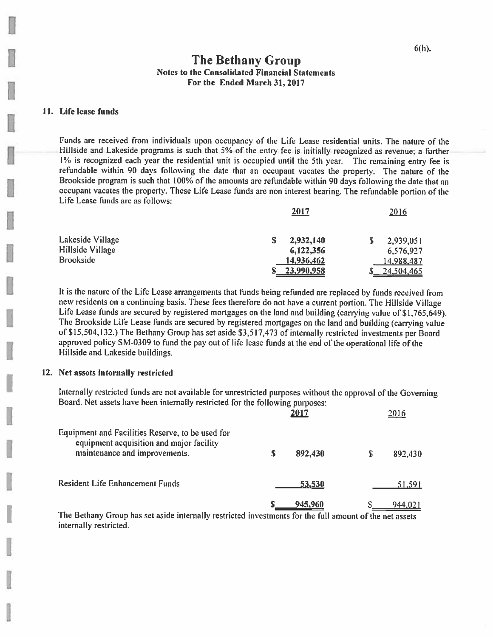$2010$ 

## **The Bethany Group Notes to the Consolidated Financial Statements** For the Ended March 31, 2017

## 11. Life lease funds

Funds are received from individuals upon occupancy of the Life Lease residential units. The nature of the Hillside and Lakeside programs is such that 5% of the entry fee is initially recognized as revenue; a further 1% is recognized each year the residential unit is occupied until the 5th year. The remaining entry fee is refundable within 90 days following the date that an occupant vacates the property. The nature of the Brookside program is such that 100% of the amounts are refundable within 90 days following the date that an occupant vacates the property. These Life Lease funds are non interest bearing. The refundable portion of the Life Lease funds are as follows:

3015

|                  | <u>zui /</u> | <u>2010</u>    |
|------------------|--------------|----------------|
| Lakeside Village | 2,932,140    | 2,939,051<br>S |
| Hillside Village | 6,122,356    | 6,576,927      |
| <b>Brookside</b> | 14,936,462   | 14,988,487     |
|                  | 23,990,958   | 24,504,465     |

It is the nature of the Life Lease arrangements that funds being refunded are replaced by funds received from new residents on a continuing basis. These fees therefore do not have a current portion. The Hillside Village Life Lease funds are secured by registered mortgages on the land and building (carrying value of \$1,765,649). The Brookside Life Lease funds are secured by registered mortgages on the land and building (carrying value of \$15,504,132.) The Bethany Group has set aside \$3,517,473 of internally restricted investments per Board approved policy SM-0309 to fund the pay out of life lease funds at the end of the operational life of the Hillside and Lakeside buildings.

## 12. Net assets internally restricted

Internally restricted funds are not available for unrestricted purposes without the approval of the Governing Board. Net assets have been internally restricted for the following purposes:

|                                                                                                                               |   | 2017    | 2016          |
|-------------------------------------------------------------------------------------------------------------------------------|---|---------|---------------|
| Equipment and Facilities Reserve, to be used for<br>equipment acquisition and major facility<br>maintenance and improvements. | S | 892,430 | \$<br>892,430 |
| <b>Resident Life Enhancement Funds</b>                                                                                        |   | 53,530  | <u>51,591</u> |
| The Dethema Custom has set uside intermally restricted interest-case for the C.H. $\sim$ $\sim$ 6.1 $\sim$ $\sim$ $\sim$      |   | 945,960 | 944,021       |

The Bethany Group has set aside internally restricted investments for the full amount of the net assets internally restricted.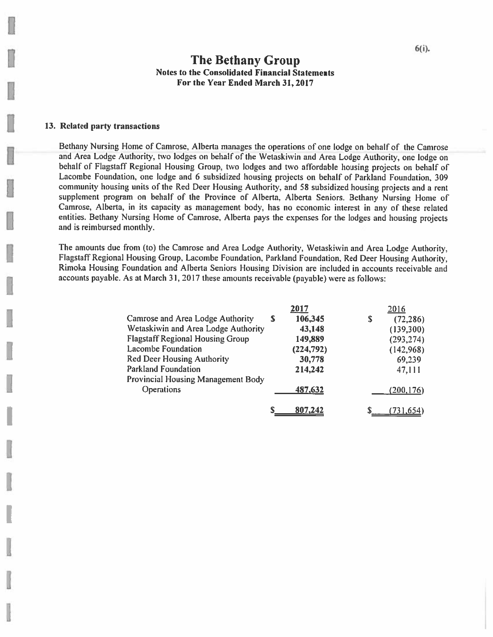## 13. Related party transactions

Bethany Nursing Home of Camrose, Alberta manages the operations of one lodge on behalf of the Camrose and Area Lodge Authority, two lodges on behalf of the Wetaskiwin and Area Lodge Authority, one lodge on behalf of Flagstaff Regional Housing Group, two lodges and two affordable housing projects on behalf of Lacombe Foundation, one lodge and 6 subsidized housing projects on behalf of Parkland Foundation, 309 community housing units of the Red Deer Housing Authority, and 58 subsidized housing projects and a rent supplement program on behalf of the Province of Alberta, Alberta Seniors. Bethany Nursing Home of Camrose, Alberta, in its capacity as management body, has no economic interest in any of these related entities. Bethany Nursing Home of Camrose, Alberta pays the expenses for the lodges and housing projects and is reimbursed monthly.

The amounts due from (to) the Camrose and Area Lodge Authority, Wetaskiwin and Area Lodge Authority, Flagstaff Regional Housing Group, Lacombe Foundation, Parkland Foundation, Red Deer Housing Authority, Rimoka Housing Foundation and Alberta Seniors Housing Division are included in accounts receivable and accounts payable. As at March 31, 2017 these amounts receivable (payable) were as follows:

|                                           |   | 2017      | 2016            |
|-------------------------------------------|---|-----------|-----------------|
| Camrose and Area Lodge Authority          | S | 106,345   | \$<br>(72, 286) |
| Wetaskiwin and Area Lodge Authority       |   | 43,148    | (139,300)       |
| <b>Flagstaff Regional Housing Group</b>   |   | 149,889   | (293, 274)      |
| <b>Lacombe Foundation</b>                 |   | (224,792) | (142,968)       |
| <b>Red Deer Housing Authority</b>         |   | 30,778    | 69,239          |
| <b>Parkland Foundation</b>                |   | 214,242   | 47,111          |
| <b>Provincial Housing Management Body</b> |   |           |                 |
| <b>Operations</b>                         |   | 487,632   | (200, 176)      |
|                                           |   | 807,242   | (731, 654)      |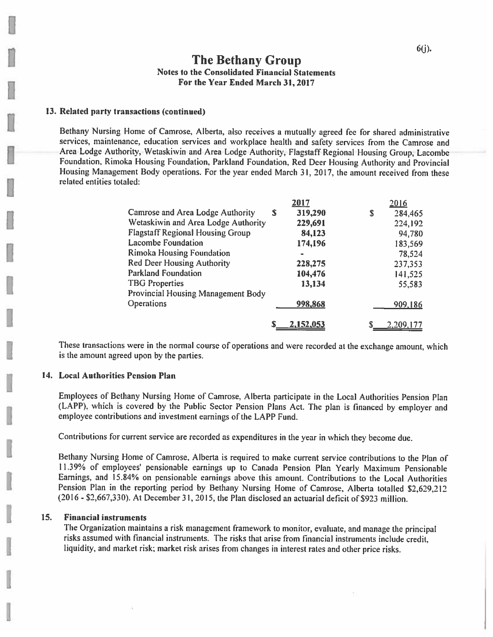## 13. Related party transactions (continued)

Bethany Nursing Home of Camrose, Alberta, also receives a mutually agreed fee for shared administrative services, maintenance, education services and workplace health and safety services from the Camrose and Area Lodge Authority, Wetaskiwin and Area Lodge Authority, Flagstaff Regional Housing Group, Lacombe Foundation, Rimoka Housing Foundation, Parkland Foundation, Red Deer Housing Authority and Provincial Housing Management Body operations. For the year ended March 31, 2017, the amount received from these related entities totaled:

|                                           |   | 2017      |   | 2016      |
|-------------------------------------------|---|-----------|---|-----------|
| Camrose and Area Lodge Authority          | S | 319,290   | S | 284,465   |
| Wetaskiwin and Area Lodge Authority       |   | 229,691   |   | 224,192   |
| <b>Flagstaff Regional Housing Group</b>   |   | 84,123    |   | 94,780    |
| <b>Lacombe Foundation</b>                 |   | 174,196   |   | 183,569   |
| <b>Rimoka Housing Foundation</b>          |   |           |   | 78,524    |
| <b>Red Deer Housing Authority</b>         |   | 228,275   |   | 237,353   |
| <b>Parkland Foundation</b>                |   | 104,476   |   | 141,525   |
| <b>TBG</b> Properties                     |   | 13,134    |   | 55,583    |
| <b>Provincial Housing Management Body</b> |   |           |   |           |
| Operations                                |   | 998,868   |   | 909,186   |
|                                           | S | 2,152,053 | S | 2.209.177 |

These transactions were in the normal course of operations and were recorded at the exchange amount, which is the amount agreed upon by the parties.

## 14. Local Authorities Pension Plan

Employees of Bethany Nursing Home of Camrose, Alberta participate in the Local Authorities Pension Plan (LAPP), which is covered by the Public Sector Pension Plans Act. The plan is financed by employer and employee contributions and investment earnings of the LAPP Fund.

Contributions for current service are recorded as expenditures in the year in which they become due.

Bethany Nursing Home of Camrose, Alberta is required to make current service contributions to the Plan of 11.39% of employees' pensionable earnings up to Canada Pension Plan Yearly Maximum Pensionable Earnings, and 15.84% on pensionable earnings above this amount. Contributions to the Local Authorities Pension Plan in the reporting period by Bethany Nursing Home of Camrose, Alberta totalled \$2,629,212  $(2016 - $2,667,330)$ . At December 31, 2015, the Plan disclosed an actuarial deficit of \$923 million.

#### 15. **Financial instruments**

The Organization maintains a risk management framework to monitor, evaluate, and manage the principal risks assumed with financial instruments. The risks that arise from financial instruments include credit. liquidity, and market risk; market risk arises from changes in interest rates and other price risks.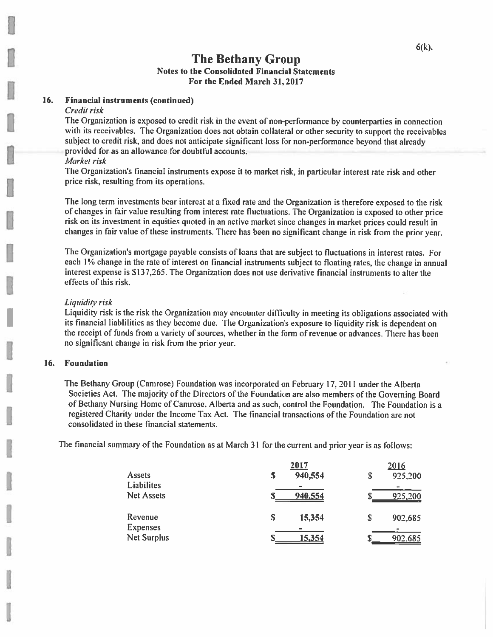#### 16. **Financial instruments (continued)**

## Credit risk

The Organization is exposed to credit risk in the event of non-performance by counterparties in connection with its receivables. The Organization does not obtain collateral or other security to support the receivables subject to credit risk, and does not anticipate significant loss for non-performance beyond that already provided for as an allowance for doubtful accounts.

## Market risk

The Organization's financial instruments expose it to market risk, in particular interest rate risk and other price risk, resulting from its operations.

The long term investments bear interest at a fixed rate and the Organization is therefore exposed to the risk of changes in fair value resulting from interest rate fluctuations. The Organization is exposed to other price risk on its investment in equities quoted in an active market since changes in market prices could result in changes in fair value of these instruments. There has been no significant change in risk from the prior year,

The Organization's mortgage payable consists of loans that are subject to fluctuations in interest rates. For each 1% change in the rate of interest on financial instruments subject to floating rates, the change in annual interest expense is \$137,265. The Organization does not use derivative financial instruments to alter the effects of this risk.

## Liquidity risk

Liquidity risk is the risk the Organization may encounter difficulty in meeting its obligations associated with its financial liabilities as they become due. The Organization's exposure to liquidity risk is dependent on the receipt of funds from a variety of sources, whether in the form of revenue or advances. There has been no significant change in risk from the prior year.

## 16. Foundation

The Bethany Group (Camrose) Foundation was incorporated on February 17, 2011 under the Alberta Societies Act. The majority of the Directors of the Foundation are also members of the Governing Board of Bethany Nursing Home of Camrose, Alberta and as such, control the Foundation. The Foundation is a registered Charity under the Income Tax Act. The financial transactions of the Foundation are not consolidated in these financial statements.

The financial summary of the Foundation as at March 31 for the current and prior year is as follows:

|                    |   | 2017          | 2016          |
|--------------------|---|---------------|---------------|
| Assets             | S | 940,554       | \$<br>925,200 |
| <b>Liabilites</b>  |   |               |               |
| <b>Net Assets</b>  |   | 940,554       | 925,200       |
|                    |   |               |               |
| Revenue            | S | 15,354        | \$<br>902,685 |
| <b>Expenses</b>    |   |               |               |
| <b>Net Surplus</b> |   | <u>15,354</u> | 902,685       |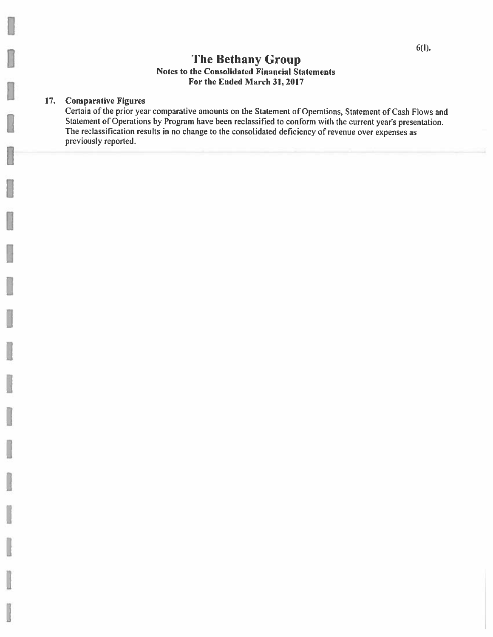#### **Comparative Figures**  $17.$

Certain of the prior year comparative amounts on the Statement of Operations, Statement of Cash Flows and Statement of Operations by Program have been reclassified to conform with the current year's presentation. The reclassification results in no change to the consolidated deficiency of revenue over expenses as previously reported.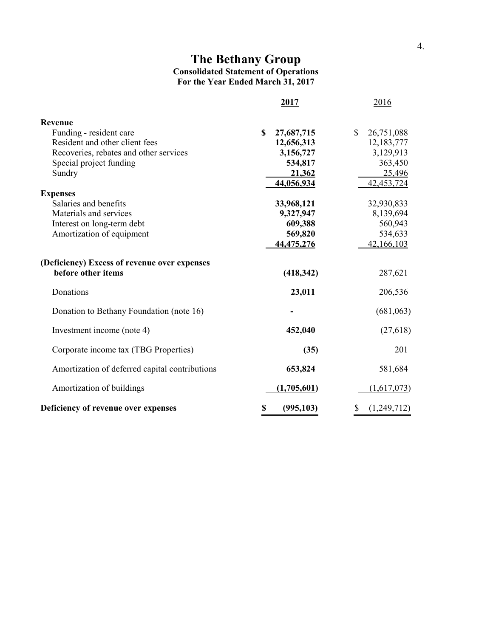## **The Bethany Group Consolidated Statement of Operations For the Year Ended March 31, 2017**

|                                                | 2017             | <u>2016</u>                |
|------------------------------------------------|------------------|----------------------------|
| Revenue                                        |                  |                            |
| Funding - resident care                        | \$<br>27,687,715 | $\mathbb{S}$<br>26,751,088 |
| Resident and other client fees                 | 12,656,313       | 12,183,777                 |
| Recoveries, rebates and other services         | 3,156,727        | 3,129,913                  |
| Special project funding                        | 534,817          | 363,450                    |
| Sundry                                         | 21,362           | 25,496                     |
|                                                | 44,056,934       | 42, 453, 724               |
| <b>Expenses</b>                                |                  |                            |
| Salaries and benefits                          | 33,968,121       | 32,930,833                 |
| Materials and services                         | 9,327,947        | 8,139,694                  |
| Interest on long-term debt                     | 609,388          | 560,943                    |
| Amortization of equipment                      | 569,820          | 534,633                    |
|                                                | 44,475,276       | 42,166,103                 |
| (Deficiency) Excess of revenue over expenses   |                  |                            |
| before other items                             | (418, 342)       | 287,621                    |
| Donations                                      | 23,011           | 206,536                    |
| Donation to Bethany Foundation (note 16)       |                  | (681,063)                  |
| Investment income (note 4)                     | 452,040          | (27, 618)                  |
| Corporate income tax (TBG Properties)          | (35)             | 201                        |
| Amortization of deferred capital contributions | 653,824          | 581,684                    |
| Amortization of buildings                      | (1,705,601)      | (1,617,073)                |
| Deficiency of revenue over expenses            | \$<br>(995, 103) | \$<br>(1,249,712)          |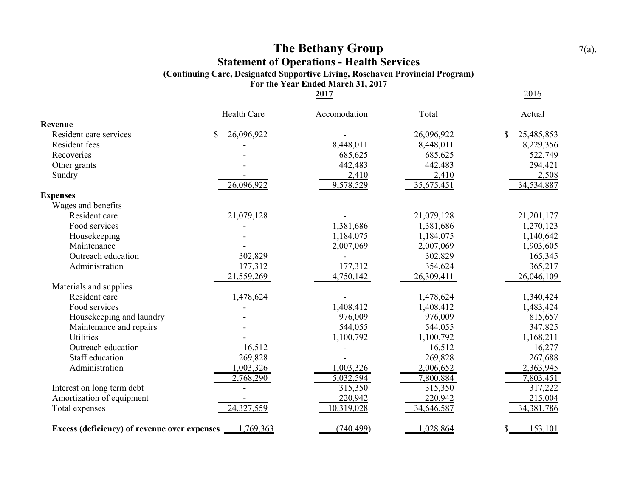## **The Bethany Group** 7(a). **Statement of Operations - Health Services (Continuing Care, Designated Supportive Living, Rosehaven Provincial Program) For the Year Ended March 31, 2017**

**2017** 2016 Health Care Accomodation Total Actual **Revenue** Resident care services  $$ 26,096,922$ <br>Resident fees  $$ 26,096,922$ <br>Resident fees  $$ 25,485,853$ Resident fees 6,229,356 Recoveries 522,749 Other grants 294,421 Sundry 2,410 2,508 26,096,922 9,578,529 35,675,451 34,534,887 **Expenses** Wages and benefits Resident care 21,079,128 - 21,079,128 21,079,128 21,201,177 Food services 1,381,686 1,270,123 Housekeeping 1,184,075 1,184,075 1,184,075 1,184,075 Maintenance 1,903,605 Outreach education 302,829 - 302,829 165,345 Administration 177,312 177,312 365,217 21,559,269 4,750,142 26,309,411 26,046,109 Materials and supplies Resident care 1,478,624 1,340,424 1,340,424 Food services 1,408,412 1,408,412 1,408,412 1,483,424 Housekeeping and laundry **-** 976,009 976,009 976,009 815,657 Maintenance and repairs **147,825 544,055** 544,055 **544,055** 544,055 544,055 Utilities 1,100,792 1,100,792 1,100,792 1,168,211 Outreach education 16,512 16,512 16,512 16,512 16,277 Staff education 269,828 267,688 Administration 1,003,326 1,003,326 2,006,652 2,363,945 2,768,290 5,032,594 7,800,884 7,803,451 Interest on long term debt 17,222 and 17,222 and 17,222 and 18,350 315,350 315,350 317,222 Amortization of equipment 1220,942 220,942 215,004 Total expenses 24,327,559 10,319,028 34,646,587 34,381,786 **Excess (deficiency) of revenue over expenses** 1,769,363 (740,499) 1,028,864 \$ 153,101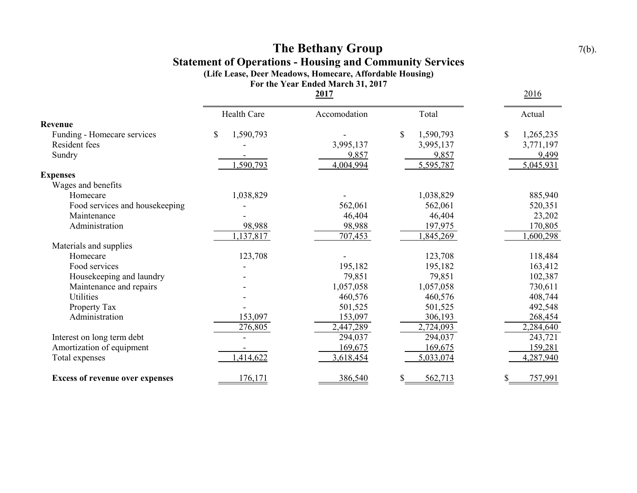## **The Bethany Group** 7(b). **Statement of Operations - Housing and Community Services (Life Lease, Deer Meadows, Homecare, Affordable Housing)**

**For the Year Ended March 31, 2017**

|                                        | 2017            |              |                           | <u>2016</u>     |
|----------------------------------------|-----------------|--------------|---------------------------|-----------------|
|                                        | Health Care     | Accomodation | Total                     | Actual          |
| Revenue                                |                 |              |                           |                 |
| Funding - Homecare services            | 1,590,793<br>\$ |              | $\mathbb{S}$<br>1,590,793 | \$<br>1,265,235 |
| Resident fees                          |                 | 3,995,137    | 3,995,137                 | 3,771,197       |
| Sundry                                 |                 | 9,857        | 9,857                     | 9,499           |
|                                        | ,590,793        | 4,004,994    | 5,595,787                 | 5,045,931       |
| <b>Expenses</b>                        |                 |              |                           |                 |
| Wages and benefits                     |                 |              |                           |                 |
| Homecare                               | 1,038,829       |              | 1,038,829                 | 885,940         |
| Food services and housekeeping         |                 | 562,061      | 562,061                   | 520,351         |
| Maintenance                            |                 | 46,404       | 46,404                    | 23,202          |
| Administration                         | 98,988          | 98,988       | 197,975                   | 170,805         |
|                                        | 1,137,817       | 707,453      | ,845,269                  | 1,600,298       |
| Materials and supplies                 |                 |              |                           |                 |
| Homecare                               | 123,708         |              | 123,708                   | 118,484         |
| Food services                          |                 | 195,182      | 195,182                   | 163,412         |
| Housekeeping and laundry               |                 | 79,851       | 79,851                    | 102,387         |
| Maintenance and repairs                |                 | 1,057,058    | 1,057,058                 | 730,611         |
| <b>Utilities</b>                       |                 | 460,576      | 460,576                   | 408,744         |
| Property Tax                           |                 | 501,525      | 501,525                   | 492,548         |
| Administration                         | 153,097         | 153,097      | 306,193                   | 268,454         |
|                                        | 276,805         | 2,447,289    | 2,724,093                 | 2,284,640       |
| Interest on long term debt             |                 | 294,037      | 294,037                   | 243,721         |
| Amortization of equipment              |                 | 169,675      | 169,675                   | 159,281         |
| Total expenses                         | 1,414,622       | 3,618,454    | 5,033,074                 | 4,287,940       |
| <b>Excess of revenue over expenses</b> | 176,171         | 386,540      | 562,713<br>\$             | 757,991<br>\$   |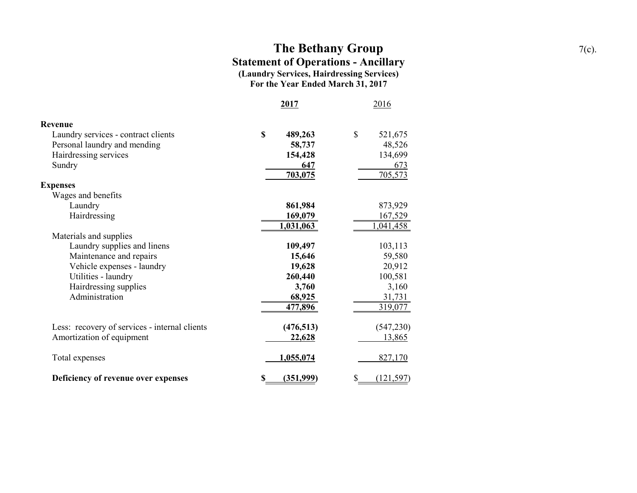## **The Bethany Group** 7(c). **Statement of Operations - Ancillary (Laundry Services, Hairdressing Services) For the Year Ended March 31, 2017**

|                                               | 2017            | 2016                    |
|-----------------------------------------------|-----------------|-------------------------|
| <b>Revenue</b>                                |                 |                         |
| Laundry services - contract clients           | \$<br>489,263   | $\mathbb{S}$<br>521,675 |
| Personal laundry and mending                  | 58,737          | 48,526                  |
| Hairdressing services                         | 154,428         | 134,699                 |
| Sundry                                        | 647             | 673                     |
|                                               | 703,075         | 705,573                 |
| <b>Expenses</b>                               |                 |                         |
| Wages and benefits                            |                 |                         |
| Laundry                                       | 861,984         | 873,929                 |
| Hairdressing                                  | 169,079         | 167,529                 |
|                                               | 1,031,063       | <u>1,041,458</u>        |
| Materials and supplies                        |                 |                         |
| Laundry supplies and linens                   | 109,497         | 103,113                 |
| Maintenance and repairs                       | 15,646          | 59,580                  |
| Vehicle expenses - laundry                    | 19,628          | 20,912                  |
| Utilities - laundry                           | 260,440         | 100,581                 |
| Hairdressing supplies                         | 3,760           | 3,160                   |
| Administration                                | 68,925          | 31,731                  |
|                                               | 477,896         | 319,077                 |
| Less: recovery of services - internal clients | (476, 513)      | (547, 230)              |
| Amortization of equipment                     | 22,628          | 13,865                  |
| Total expenses                                | 1,055,074       | 827,170                 |
| Deficiency of revenue over expenses           | (351,999)<br>\$ | \$<br>(121, 597)        |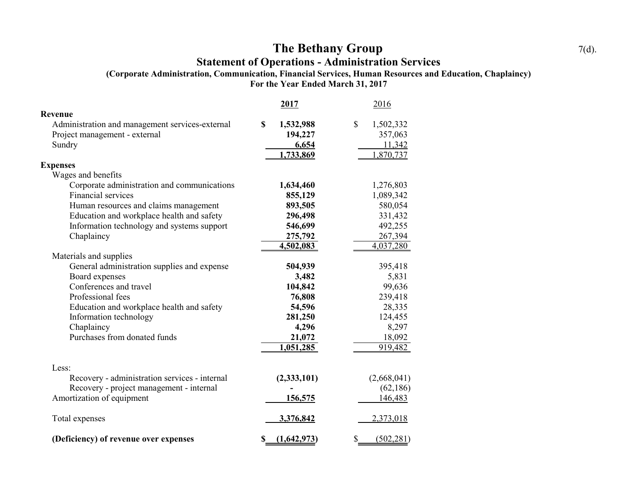# **The Bethany Group** 7(d).

## **Statement of Operations - Administration Services**

**(Corporate Administration, Communication, Financial Services, Human Resources and Education, Chaplaincy)**

**For the Year Ended March 31, 2017**

|                                                 | 2017             | 2016            |
|-------------------------------------------------|------------------|-----------------|
| Revenue                                         |                  |                 |
| Administration and management services-external | \$<br>1,532,988  | \$<br>1,502,332 |
| Project management - external                   | 194,227          | 357,063         |
| Sundry                                          | 6,654            | 11,342          |
|                                                 | 1,733,869        | 1,870,737       |
| <b>Expenses</b>                                 |                  |                 |
| Wages and benefits                              |                  |                 |
| Corporate administration and communications     | 1,634,460        | 1,276,803       |
| Financial services                              | 855,129          | 1,089,342       |
| Human resources and claims management           | 893,505          | 580,054         |
| Education and workplace health and safety       | 296,498          | 331,432         |
| Information technology and systems support      | 546,699          | 492,255         |
| Chaplaincy                                      | 275,792          | 267,394         |
|                                                 | 4,502,083        | 4,037,280       |
| Materials and supplies                          |                  |                 |
| General administration supplies and expense     | 504,939          | 395,418         |
| Board expenses                                  | 3,482            | 5,831           |
| Conferences and travel                          | 104,842          | 99,636          |
| Professional fees                               | 76,808           | 239,418         |
| Education and workplace health and safety       | 54,596           | 28,335          |
| Information technology                          | 281,250          | 124,455         |
| Chaplaincy                                      | 4,296            | 8,297           |
| Purchases from donated funds                    | 21,072           | 18,092          |
|                                                 | 1,051,285        | 919,482         |
|                                                 |                  |                 |
| Less:                                           |                  |                 |
| Recovery - administration services - internal   | (2, 333, 101)    | (2,668,041)     |
| Recovery - project management - internal        |                  | (62, 186)       |
| Amortization of equipment                       | <u>156,575</u>   | 146,483         |
|                                                 |                  |                 |
| Total expenses                                  | 3,376,842        | 2,373,018       |
|                                                 |                  |                 |
| (Deficiency) of revenue over expenses           | (1,642,973)<br>S | (502, 281)<br>S |
|                                                 |                  |                 |